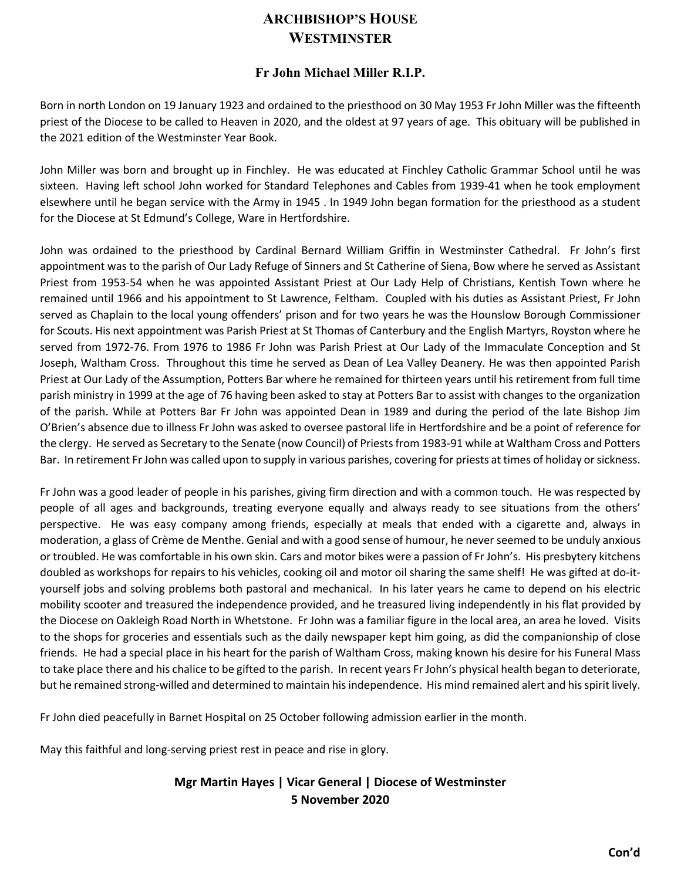## **ARCHBISHOP'S HOUSE WESTMINSTER**

## **Fr John Michael Miller R.I.P.**

Born in north London on 19 January 1923 and ordained to the priesthood on 30 May 1953 Fr John Miller was the fifteenth priest of the Diocese to be called to Heaven in 2020, and the oldest at 97 years of age. This obituary will be published in the 2021 edition of the Westminster Year Book.

John Miller was born and brought up in Finchley. He was educated at Finchley Catholic Grammar School until he was sixteen. Having left school John worked for Standard Telephones and Cables from 1939-41 when he took employment elsewhere until he began service with the Army in 1945 . In 1949 John began formation for the priesthood as a student for the Diocese at St Edmund's College, Ware in Hertfordshire.

John was ordained to the priesthood by Cardinal Bernard William Griffin in Westminster Cathedral. Fr John's first appointment was to the parish of Our Lady Refuge of Sinners and St Catherine of Siena, Bow where he served as Assistant Priest from 1953-54 when he was appointed Assistant Priest at Our Lady Help of Christians, Kentish Town where he remained until 1966 and his appointment to St Lawrence, Feltham. Coupled with his duties as Assistant Priest, Fr John served as Chaplain to the local young offenders' prison and for two years he was the Hounslow Borough Commissioner for Scouts. His next appointment was Parish Priest at St Thomas of Canterbury and the English Martyrs, Royston where he served from 1972-76. From 1976 to 1986 Fr John was Parish Priest at Our Lady of the Immaculate Conception and St Joseph, Waltham Cross. Throughout this time he served as Dean of Lea Valley Deanery. He was then appointed Parish Priest at Our Lady of the Assumption, Potters Bar where he remained for thirteen years until his retirement from full time parish ministry in 1999 at the age of 76 having been asked to stay at Potters Bar to assist with changes to the organization of the parish. While at Potters Bar Fr John was appointed Dean in 1989 and during the period of the late Bishop Jim O'Brien's absence due to illness Fr John was asked to oversee pastoral life in Hertfordshire and be a point of reference for the clergy. He served as Secretary to the Senate (now Council) of Priests from 1983-91 while at Waltham Cross and Potters Bar. In retirement Fr John was called upon to supply in various parishes, covering for priests at times of holiday or sickness.

Fr John was a good leader of people in his parishes, giving firm direction and with a common touch. He was respected by people of all ages and backgrounds, treating everyone equally and always ready to see situations from the others' perspective. He was easy company among friends, especially at meals that ended with a cigarette and, always in moderation, a glass of Crème de Menthe. Genial and with a good sense of humour, he never seemed to be unduly anxious or troubled. He was comfortable in his own skin. Cars and motor bikes were a passion of Fr John's. His presbytery kitchens doubled as workshops for repairs to his vehicles, cooking oil and motor oil sharing the same shelf! He was gifted at do-ityourself jobs and solving problems both pastoral and mechanical. In his later years he came to depend on his electric mobility scooter and treasured the independence provided, and he treasured living independently in his flat provided by the Diocese on Oakleigh Road North in Whetstone. Fr John was a familiar figure in the local area, an area he loved. Visits to the shops for groceries and essentials such as the daily newspaper kept him going, as did the companionship of close friends. He had a special place in his heart for the parish of Waltham Cross, making known his desire for his Funeral Mass to take place there and his chalice to be gifted to the parish. In recent years Fr John's physical health began to deteriorate, but he remained strong-willed and determined to maintain his independence. His mind remained alert and his spirit lively.

Fr John died peacefully in Barnet Hospital on 25 October following admission earlier in the month.

May this faithful and long-serving priest rest in peace and rise in glory.

## **Mgr Martin Hayes | Vicar General | Diocese of Westminster 5 November 2020**